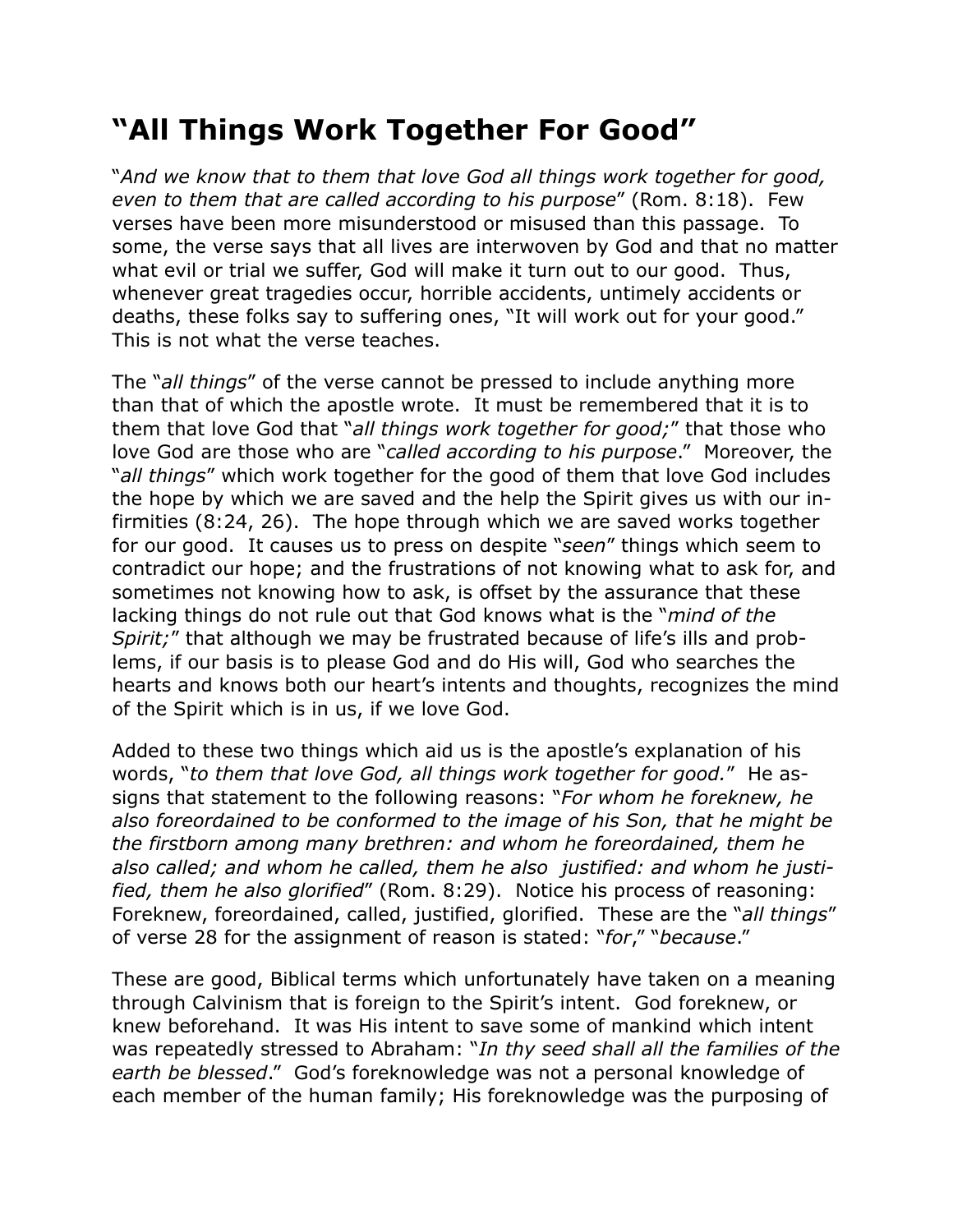## **"All Things Work Together For Good"**

"*And we know that to them that love God all things work together for good, even to them that are called according to his purpose*" (Rom. 8:18). Few verses have been more misunderstood or misused than this passage. To some, the verse says that all lives are interwoven by God and that no matter what evil or trial we suffer, God will make it turn out to our good. Thus, whenever great tragedies occur, horrible accidents, untimely accidents or deaths, these folks say to suffering ones, "It will work out for your good." This is not what the verse teaches.

The "*all things*" of the verse cannot be pressed to include anything more than that of which the apostle wrote. It must be remembered that it is to them that love God that "*all things work together for good;*" that those who love God are those who are "*called according to his purpose*." Moreover, the "*all things*" which work together for the good of them that love God includes the hope by which we are saved and the help the Spirit gives us with our infirmities (8:24, 26). The hope through which we are saved works together for our good. It causes us to press on despite "*seen*" things which seem to contradict our hope; and the frustrations of not knowing what to ask for, and sometimes not knowing how to ask, is offset by the assurance that these lacking things do not rule out that God knows what is the "*mind of the Spirit;*" that although we may be frustrated because of life's ills and problems, if our basis is to please God and do His will, God who searches the hearts and knows both our heart's intents and thoughts, recognizes the mind of the Spirit which is in us, if we love God.

Added to these two things which aid us is the apostle's explanation of his words, "*to them that love God, all things work together for good.*" He assigns that statement to the following reasons: "*For whom he foreknew, he also foreordained to be conformed to the image of his Son, that he might be the firstborn among many brethren: and whom he foreordained, them he also called; and whom he called, them he also justified: and whom he justified, them he also glorified*" (Rom. 8:29). Notice his process of reasoning: Foreknew, foreordained, called, justified, glorified. These are the "*all things*" of verse 28 for the assignment of reason is stated: "*for*," "*because*."

These are good, Biblical terms which unfortunately have taken on a meaning through Calvinism that is foreign to the Spirit's intent. God foreknew, or knew beforehand. It was His intent to save some of mankind which intent was repeatedly stressed to Abraham: "*In thy seed shall all the families of the earth be blessed*." God's foreknowledge was not a personal knowledge of each member of the human family; His foreknowledge was the purposing of